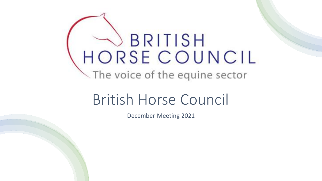## BRITISH HORSE COUNCIL The voice of the equine sector

## British Horse Council

December Meeting 2021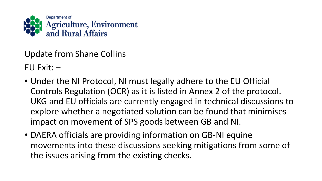

Update from Shane Collins  $EU$  Exit:  $-$ 

- Under the NI Protocol, NI must legally adhere to the EU Official Controls Regulation (OCR) as it is listed in Annex 2 of the protocol. UKG and EU officials are currently engaged in technical discussions to explore whether a negotiated solution can be found that minimises impact on movement of SPS goods between GB and NI.
- DAERA officials are providing information on GB-NI equine movements into these discussions seeking mitigations from some of the issues arising from the existing checks.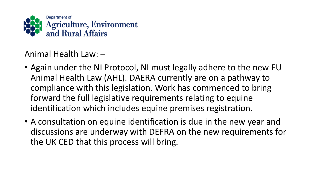

Animal Health Law: –

- Again under the NI Protocol, NI must legally adhere to the new EU Animal Health Law (AHL). DAERA currently are on a pathway to compliance with this legislation. Work has commenced to bring forward the full legislative requirements relating to equine identification which includes equine premises registration.
- A consultation on equine identification is due in the new year and discussions are underway with DEFRA on the new requirements for the UK CED that this process will bring.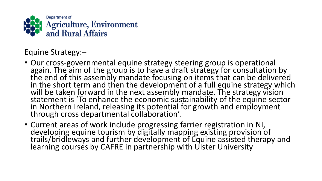

Equine Strategy:–

- Our cross-governmental equine strategy steering group is operational again. The aim of the group is to have a draft strategy for consultation by the end of this assembly mandate focusing on items that can be delivered in the short term and then the development of a full equine strategy which will be taken forward in the next assembly mandate. The strategy vision statement is 'To enhance the economic sustainability of the equine sector in Northern Ireland, releasing its potential for growth and employment through cross departmental collaboration'.
- Current areas of work include progressing farrier registration in NI, developing equine tourism by digitally mapping existing provision of trails/bridleways and further development of Equine assisted therapy and learning courses by CAFRE in partnership with Ulster University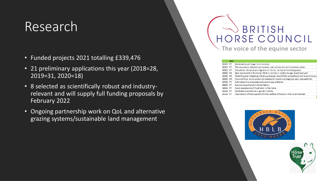### Research

- Funded projects 2021 totalling £339,476
- 21 preliminary applications this year (2018=28, 2019=31, 2020=18)
- 8 selected as scientifically robust and industryrelevant and will supply full funding proposals by February 2022
- Ongoing partnership work on QoL and alternative grazing systems/sustainable land management

### **BRITISH** SE COUNCIL The voice of the equine sector

|          | 2021 |                                                                                        |
|----------|------|----------------------------------------------------------------------------------------|
| G1021 PP |      | Bacteraemia and large colon volvulus                                                   |
| G2021 PP |      | The association between personality, pain expression and emotional states              |
| G3021    | PP   | Prevalence of mycotoxin ingestion in horses by liquid chromatography                   |
| G4021    | RG.  | Back movement in the horse: What is normal in relation to age, breed and use?          |
| G5021    | RG.  | Modelling and mitigating infectious disease risks/British competition and leisure hors |
| G6021 RG |      | Synovial fluid, serum protein & metabolite markers to diagnose early osteoarthritis    |
| G7021 PP |      | Actinobascillus and pasteurella and airway infection                                   |
| G8021    | PP   | Exercise based tendon rehabilitation                                                   |
| G9021    | PP   | Facial expressions of frustration in the horse                                         |
| G1021    | PP   | Ophthalmic conditions in geriatric horses                                              |
| G1121    | PP   | Implications of track systems for the welfare of horses in the UK and abroad           |
|          |      |                                                                                        |



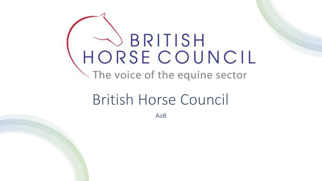# HORSE COUNCIL The voice of the equine sector

## British Horse Council

AoB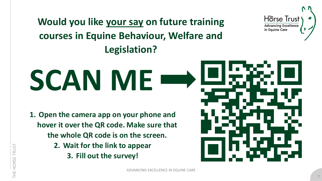**Would you like your say on future training courses in Equine Behaviour, Welfare and Legislation?**

## **SCAN ME**

- **1. Open the camera app on your phone and hover it over the QR code. Make sure that the whole QR code is on the screen.**
	- **2. Wait for the link to appear**
		- **3. Fill out the survey!**



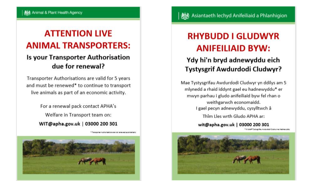#### **ATTENTION LIVE ANIMAL TRANSPORTERS:**

#### **Is your Transporter Authorisation** due for renewal?

Transporter Authorisations are valid for 5 years and must be renewed\* to continue to transport live animals as part of an economic activity.

> For a renewal pack contact APHA's Welfare in Transport team on: WIT@apha.gov.uk | 03000 200 301

> > Transportant Authorizations are not renaused automatical



#### **RHYBUDD I GLUDWYR ANIFEILIAID BYW:**

#### Ydy hi'n bryd adnewyddu eich Tystysgrif Awdurdodi Cludwyr?

Mae Tystysgrifau Awdurdodi Cludwyr yn ddilys am 5 mlynedd a rhaid iddynt gael eu hadnewyddu\* er mwyn parhau i gludo anifeiliaid byw fel rhan o weithgarwch economaidd. I gael pecyn adnewyddu, cysylltwch â

Thîm Lles wrth Gludo APHA ar:

wit@apha.gov.uk | 03000 200 301

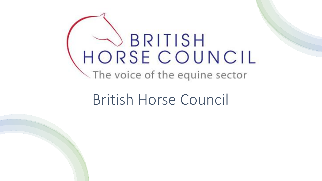# HORSE COUNCIL The voice of the equine sector

## British Horse Council